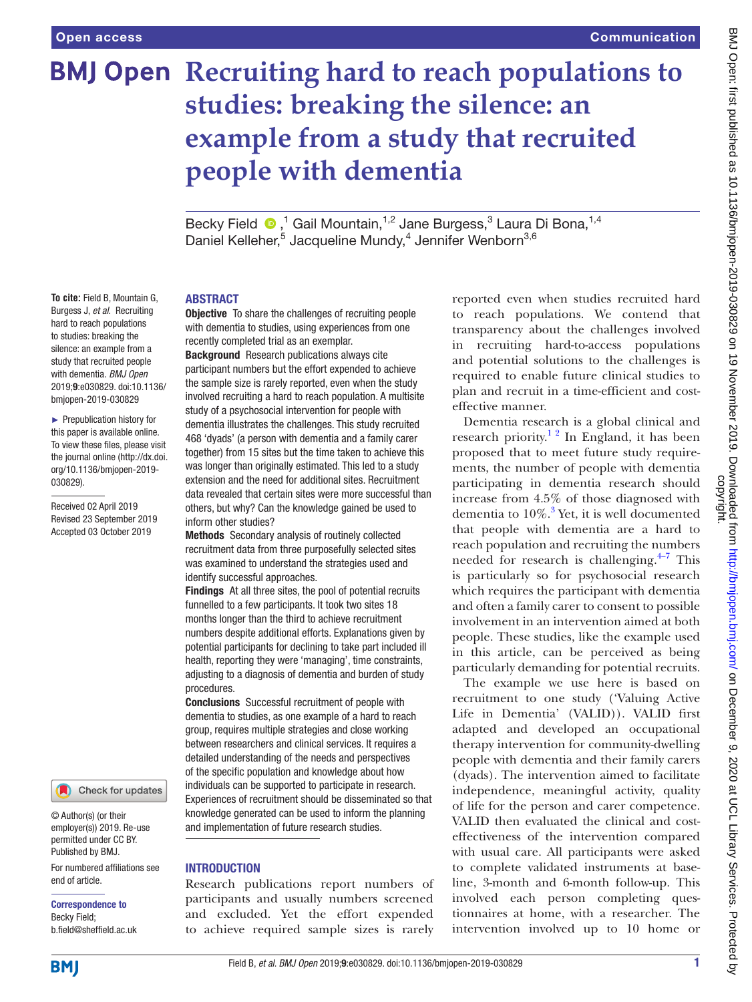# **BMJ Open Recruiting hard to reach populations to studies: breaking the silence: an example from a study that recruited people with dementia**

BeckyField  $\bullet$ ,<sup>1</sup> Gail Mountain,<sup>1,2</sup> Jane Burgess,<sup>3</sup> Laura Di Bona,<sup>1,4</sup> Daniel Kelleher,<sup>5</sup> Jacqueline Mundy,<sup>4</sup> Jennifer Wenborn<sup>3,6</sup>

#### ABSTRACT

**To cite:** Field B, Mountain G, Burgess J, *et al*. Recruiting hard to reach populations to studies: breaking the silence: an example from a study that recruited people with dementia. *BMJ Open* 2019;9:e030829. doi:10.1136/ bmjopen-2019-030829

► Prepublication history for this paper is available online. To view these files, please visit the journal online (http://dx.doi. org/10.1136/bmjopen-2019- 030829).

Received 02 April 2019 Revised 23 September 2019 Accepted 03 October 2019



© Author(s) (or their employer(s)) 2019. Re-use permitted under CC BY. Published by BMJ.

For numbered affiliations see end of article.

Correspondence to Becky Field; b.field@sheffield.ac.uk **Objective** To share the challenges of recruiting people with dementia to studies, using experiences from one recently completed trial as an exemplar. Background Research publications always cite participant numbers but the effort expended to achieve the sample size is rarely reported, even when the study involved recruiting a hard to reach population. A multisite study of a psychosocial intervention for people with dementia illustrates the challenges. This study recruited 468 'dyads' (a person with dementia and a family carer together) from 15 sites but the time taken to achieve this was longer than originally estimated. This led to a study extension and the need for additional sites. Recruitment data revealed that certain sites were more successful than others, but why? Can the knowledge gained be used to inform other studies?

Methods Secondary analysis of routinely collected recruitment data from three purposefully selected sites was examined to understand the strategies used and identify successful approaches.

Findings At all three sites, the pool of potential recruits funnelled to a few participants. It took two sites 18 months longer than the third to achieve recruitment numbers despite additional efforts. Explanations given by potential participants for declining to take part included ill health, reporting they were 'managing', time constraints, adjusting to a diagnosis of dementia and burden of study procedures.

Conclusions Successful recruitment of people with dementia to studies, as one example of a hard to reach group, requires multiple strategies and close working between researchers and clinical services. It requires a detailed understanding of the needs and perspectives of the specific population and knowledge about how individuals can be supported to participate in research. Experiences of recruitment should be disseminated so that knowledge generated can be used to inform the planning and implementation of future research studies.

## **INTRODUCTION**

Research publications report numbers of participants and usually numbers screened and excluded. Yet the effort expended to achieve required sample sizes is rarely

reported even when studies recruited hard to reach populations. We contend that transparency about the challenges involved in recruiting hard-to-access populations and potential solutions to the challenges is required to enable future clinical studies to plan and recruit in a time-efficient and costeffective manner.

Dementia research is a global clinical and research priority.<sup>12</sup> In England, it has been proposed that to meet future study requirements, the number of people with dementia participating in dementia research should increase from 4.5% of those diagnosed with dementia to  $10\%$ .<sup>3</sup> Yet, it is well documented that people with dementia are a hard to reach population and recruiting the numbers needed for research is challenging. $4\frac{4}{7}$  This is particularly so for psychosocial research which requires the participant with dementia and often a family carer to consent to possible involvement in an intervention aimed at both people. These studies, like the example used in this article, can be perceived as being particularly demanding for potential recruits.

The example we use here is based on recruitment to one study ('Valuing Active Life in Dementia' (VALID)). VALID first adapted and developed an occupational therapy intervention for community-dwelling people with dementia and their family carers (dyads). The intervention aimed to facilitate independence, meaningful activity, quality of life for the person and carer competence. VALID then evaluated the clinical and costeffectiveness of the intervention compared with usual care. All participants were asked to complete validated instruments at baseline, 3-month and 6-month follow-up. This involved each person completing questionnaires at home, with a researcher. The intervention involved up to 10 home or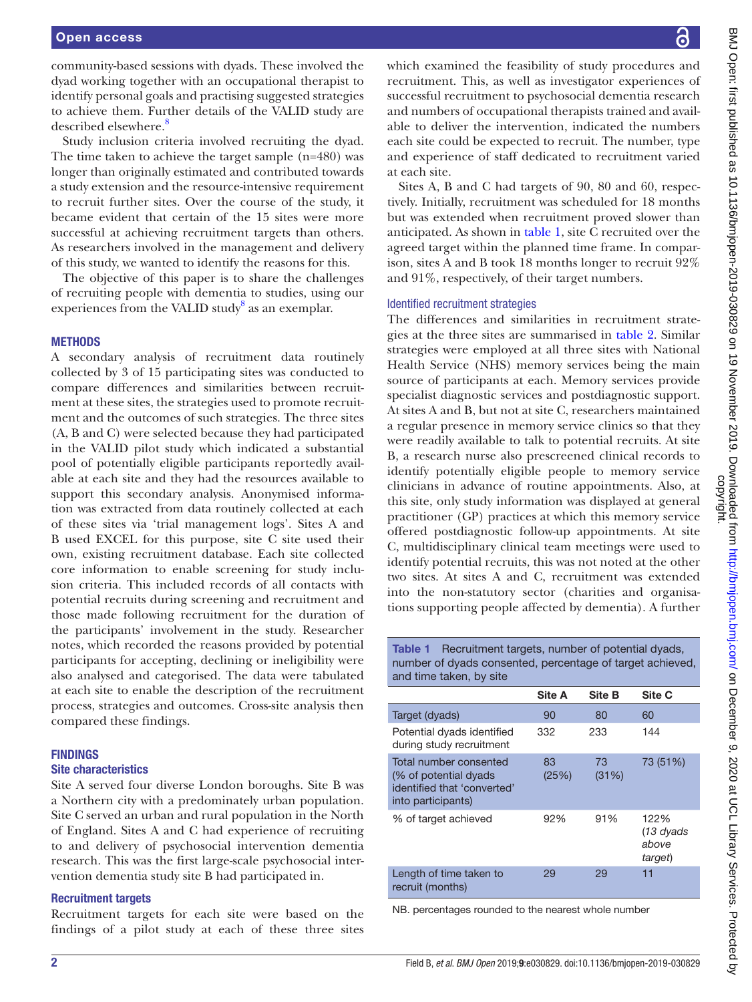community-based sessions with dyads. These involved the dyad working together with an occupational therapist to identify personal goals and practising suggested strategies to achieve them. Further details of the VALID study are described elsewhere.<sup>[8](#page-5-3)</sup>

Study inclusion criteria involved recruiting the dyad. The time taken to achieve the target sample (n=480) was longer than originally estimated and contributed towards a study extension and the resource-intensive requirement to recruit further sites. Over the course of the study, it became evident that certain of the 15 sites were more successful at achieving recruitment targets than others. As researchers involved in the management and delivery of this study, we wanted to identify the reasons for this.

The objective of this paper is to share the challenges of recruiting people with dementia to studies, using our experiences from the VALID study<sup>[8](#page-5-3)</sup> as an exemplar.

#### **METHODS**

A secondary analysis of recruitment data routinely collected by 3 of 15 participating sites was conducted to compare differences and similarities between recruitment at these sites, the strategies used to promote recruitment and the outcomes of such strategies. The three sites (A, B and C) were selected because they had participated in the VALID pilot study which indicated a substantial pool of potentially eligible participants reportedly available at each site and they had the resources available to support this secondary analysis. Anonymised information was extracted from data routinely collected at each of these sites via 'trial management logs'. Sites A and B used EXCEL for this purpose, site C site used their own, existing recruitment database. Each site collected core information to enable screening for study inclusion criteria. This included records of all contacts with potential recruits during screening and recruitment and those made following recruitment for the duration of the participants' involvement in the study. Researcher notes, which recorded the reasons provided by potential participants for accepting, declining or ineligibility were also analysed and categorised. The data were tabulated at each site to enable the description of the recruitment process, strategies and outcomes. Cross-site analysis then compared these findings.

## **FINDINGS**

#### Site characteristics

Site A served four diverse London boroughs. Site B was a Northern city with a predominately urban population. Site C served an urban and rural population in the North of England. Sites A and C had experience of recruiting to and delivery of psychosocial intervention dementia research. This was the first large-scale psychosocial intervention dementia study site B had participated in.

#### Recruitment targets

Recruitment targets for each site were based on the findings of a pilot study at each of these three sites which examined the feasibility of study procedures and recruitment. This, as well as investigator experiences of successful recruitment to psychosocial dementia research and numbers of occupational therapists trained and available to deliver the intervention, indicated the numbers each site could be expected to recruit. The number, type and experience of staff dedicated to recruitment varied at each site.

Sites A, B and C had targets of 90, 80 and 60, respectively. Initially, recruitment was scheduled for 18 months but was extended when recruitment proved slower than anticipated. As shown in [table](#page-1-0) 1, site C recruited over the agreed target within the planned time frame. In comparison, sites A and B took 18 months longer to recruit 92% and 91%, respectively, of their target numbers.

#### Identified recruitment strategies

The differences and similarities in recruitment strategies at the three sites are summarised in [table](#page-2-0) 2. Similar strategies were employed at all three sites with National Health Service (NHS) memory services being the main source of participants at each. Memory services provide specialist diagnostic services and postdiagnostic support. At sites A and B, but not at site C, researchers maintained a regular presence in memory service clinics so that they were readily available to talk to potential recruits. At site B, a research nurse also prescreened clinical records to identify potentially eligible people to memory service clinicians in advance of routine appointments. Also, at this site, only study information was displayed at general practitioner (GP) practices at which this memory service offered postdiagnostic follow-up appointments. At site C, multidisciplinary clinical team meetings were used to identify potential recruits, this was not noted at the other two sites. At sites A and C, recruitment was extended into the non-statutory sector (charities and organisations supporting people affected by dementia). A further

<span id="page-1-0"></span>Table 1 Recruitment targets, number of potential dyads, number of dyads consented, percentage of target achieved, and time taken, by site

|                                                                                                       | Site A      | Site B      | Site C                                |
|-------------------------------------------------------------------------------------------------------|-------------|-------------|---------------------------------------|
| Target (dyads)                                                                                        | 90          | 80          | 60                                    |
| Potential dyads identified<br>during study recruitment                                                | 332         | 233         | 144                                   |
| Total number consented<br>(% of potential dyads)<br>identified that 'converted'<br>into participants) | 83<br>(25%) | 73<br>(31%) | 73 (51%)                              |
| % of target achieved                                                                                  | 92%         | 91%         | 122%<br>(13 dyads<br>above<br>target) |
| Length of time taken to<br>recruit (months)                                                           | 29          | 29          | 11                                    |

NB. percentages rounded to the nearest whole number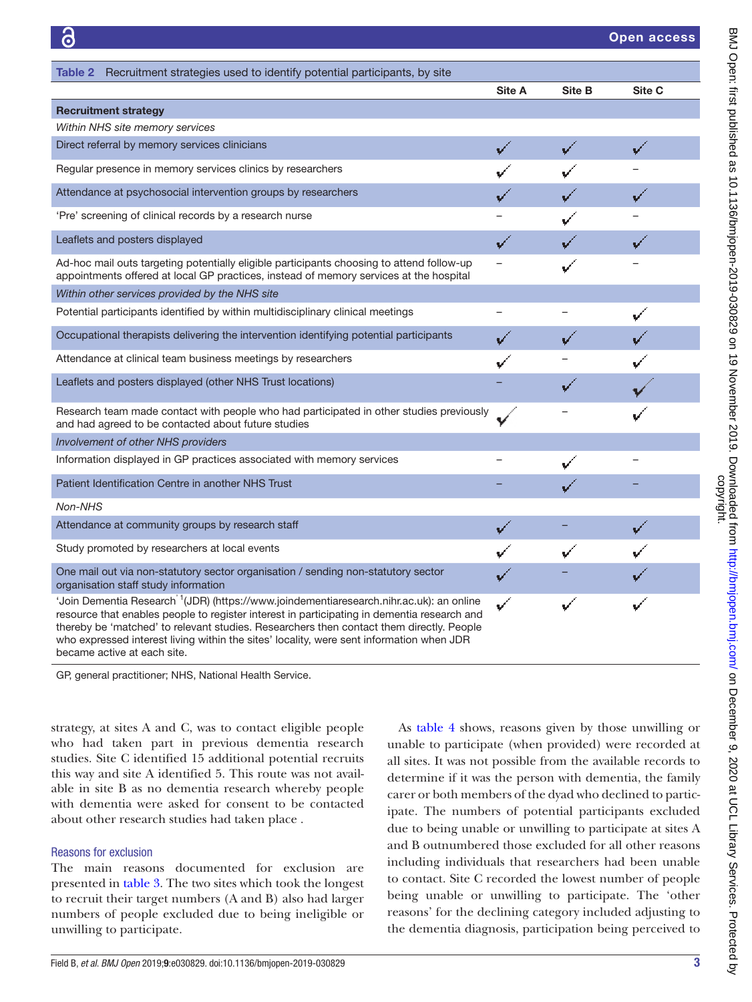<span id="page-2-0"></span>

| Table 2 Recruitment strategies used to identify potential participants, by site                                                                                                                                                                                                                                                                                                                                             |        |        |        |  |
|-----------------------------------------------------------------------------------------------------------------------------------------------------------------------------------------------------------------------------------------------------------------------------------------------------------------------------------------------------------------------------------------------------------------------------|--------|--------|--------|--|
|                                                                                                                                                                                                                                                                                                                                                                                                                             | Site A | Site B | Site C |  |
| <b>Recruitment strategy</b>                                                                                                                                                                                                                                                                                                                                                                                                 |        |        |        |  |
| Within NHS site memory services                                                                                                                                                                                                                                                                                                                                                                                             |        |        |        |  |
| Direct referral by memory services clinicians                                                                                                                                                                                                                                                                                                                                                                               | ✓      | ✓      |        |  |
| Regular presence in memory services clinics by researchers                                                                                                                                                                                                                                                                                                                                                                  |        |        |        |  |
| Attendance at psychosocial intervention groups by researchers                                                                                                                                                                                                                                                                                                                                                               |        |        |        |  |
| 'Pre' screening of clinical records by a research nurse                                                                                                                                                                                                                                                                                                                                                                     |        |        |        |  |
| Leaflets and posters displayed                                                                                                                                                                                                                                                                                                                                                                                              |        |        |        |  |
| Ad-hoc mail outs targeting potentially eligible participants choosing to attend follow-up<br>appointments offered at local GP practices, instead of memory services at the hospital                                                                                                                                                                                                                                         |        |        |        |  |
| Within other services provided by the NHS site                                                                                                                                                                                                                                                                                                                                                                              |        |        |        |  |
| Potential participants identified by within multidisciplinary clinical meetings                                                                                                                                                                                                                                                                                                                                             |        |        |        |  |
| Occupational therapists delivering the intervention identifying potential participants                                                                                                                                                                                                                                                                                                                                      | ✔      |        |        |  |
| Attendance at clinical team business meetings by researchers                                                                                                                                                                                                                                                                                                                                                                |        |        |        |  |
| Leaflets and posters displayed (other NHS Trust locations)                                                                                                                                                                                                                                                                                                                                                                  |        |        |        |  |
| Research team made contact with people who had participated in other studies previously<br>and had agreed to be contacted about future studies                                                                                                                                                                                                                                                                              |        |        |        |  |
| Involvement of other NHS providers                                                                                                                                                                                                                                                                                                                                                                                          |        |        |        |  |
| Information displayed in GP practices associated with memory services                                                                                                                                                                                                                                                                                                                                                       |        |        |        |  |
| Patient Identification Centre in another NHS Trust                                                                                                                                                                                                                                                                                                                                                                          |        |        |        |  |
| Non-NHS                                                                                                                                                                                                                                                                                                                                                                                                                     |        |        |        |  |
| Attendance at community groups by research staff                                                                                                                                                                                                                                                                                                                                                                            | ✓      |        |        |  |
| Study promoted by researchers at local events                                                                                                                                                                                                                                                                                                                                                                               |        |        |        |  |
| One mail out via non-statutory sector organisation / sending non-statutory sector<br>organisation staff study information                                                                                                                                                                                                                                                                                                   |        |        |        |  |
| 'Join Dementia Research <sup>' 1</sup> (JDR) (https://www.joindementiaresearch.nihr.ac.uk): an online<br>resource that enables people to register interest in participating in dementia research and<br>thereby be 'matched' to relevant studies. Researchers then contact them directly. People<br>who expressed interest living within the sites' locality, were sent information when JDR<br>became active at each site. | ✓      |        |        |  |

GP, general practitioner; NHS, National Health Service.

strategy, at sites A and C, was to contact eligible people who had taken part in previous dementia research studies. Site C identified 15 additional potential recruits this way and site A identified 5. This route was not available in site B as no dementia research whereby people with dementia were asked for consent to be contacted about other research studies had taken place .

## Reasons for exclusion

The main reasons documented for exclusion are presented in [table](#page-3-0) 3. The two sites which took the longest to recruit their target numbers (A and B) also had larger numbers of people excluded due to being ineligible or unwilling to participate.

As [table](#page-3-1) 4 shows, reasons given by those unwilling or unable to participate (when provided) were recorded at all sites. It was not possible from the available records to determine if it was the person with dementia, the family carer or both members of the dyad who declined to participate. The numbers of potential participants excluded due to being unable or unwilling to participate at sites A and B outnumbered those excluded for all other reasons including individuals that researchers had been unable to contact. Site C recorded the lowest number of people being unable or unwilling to participate. The 'other reasons' for the declining category included adjusting to the dementia diagnosis, participation being perceived to BMJ Open: first published as 10.1136/bmjopen-2019-030829 on 19 November 2019. Downloaded from <http://bmjopen.bmj.com/> on December 9, 2020 at UCL Library Services. Protected by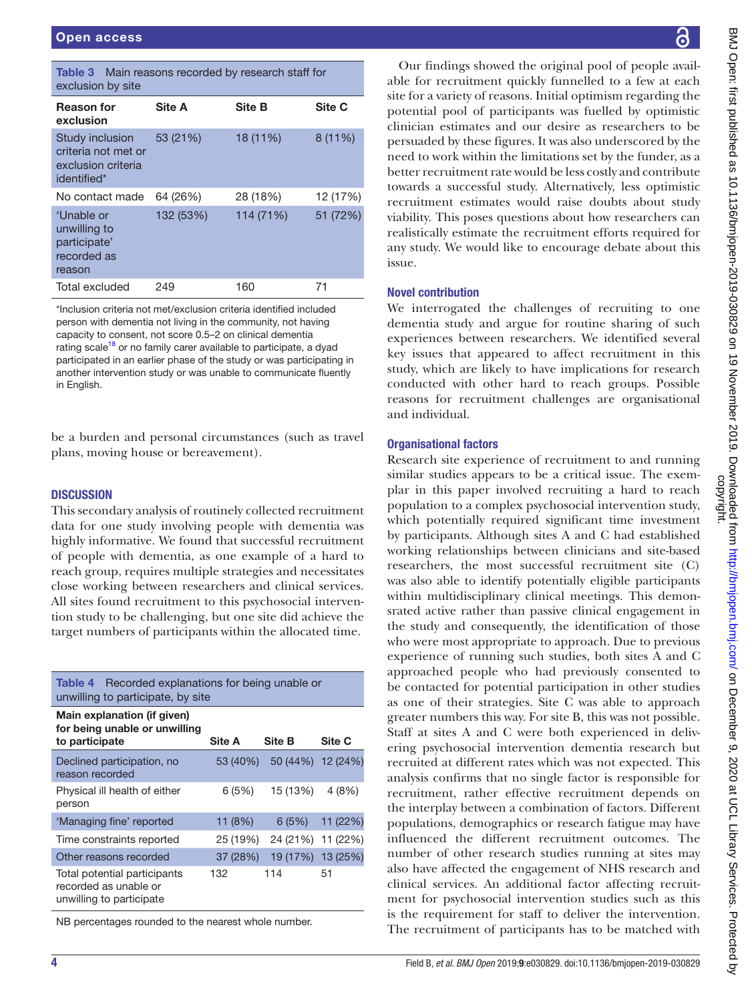<span id="page-3-0"></span>

|                   | Table 3 Main reasons recorded by research staff for |
|-------------------|-----------------------------------------------------|
| exclusion by site |                                                     |

| <b>Reason for</b><br>exclusion                                              | Site A    | <b>Site B</b> | Site C   |
|-----------------------------------------------------------------------------|-----------|---------------|----------|
| Study inclusion<br>criteria not met or<br>exclusion criteria<br>identified* | 53 (21%)  | 18 (11%)      | 8(11%)   |
| No contact made                                                             | 64 (26%)  | 28 (18%)      | 12 (17%) |
| 'Unable or<br>unwilling to<br>participate'<br>recorded as<br>reason         | 132 (53%) | 114 (71%)     | 51 (72%) |
| Total excluded                                                              | 249       | 160           | 71       |

\*Inclusion criteria not met/exclusion criteria identified included person with dementia not living in the community, not having capacity to consent, not score 0.5–2 on clinical dementia rating scale<sup>18</sup> or no family carer available to participate, a dyad participated in an earlier phase of the study or was participating in another intervention study or was unable to communicate fluently in English.

be a burden and personal circumstances (such as travel plans, moving house or bereavement).

## **DISCUSSION**

This secondary analysis of routinely collected recruitment data for one study involving people with dementia was highly informative. We found that successful recruitment of people with dementia, as one example of a hard to reach group, requires multiple strategies and necessitates close working between researchers and clinical services. All sites found recruitment to this psychosocial intervention study to be challenging, but one site did achieve the target numbers of participants within the allocated time.

<span id="page-3-1"></span>

| <b>Table 4</b> Recorded explanations for being unable or<br>unwilling to participate, by site |          |                            |          |  |
|-----------------------------------------------------------------------------------------------|----------|----------------------------|----------|--|
| Main explanation (if given)<br>for being unable or unwilling<br>to participate                | Site A   | Site B                     | Site C   |  |
| Declined participation, no<br>reason recorded                                                 |          | 53 (40%) 50 (44%) 12 (24%) |          |  |
| Physical ill health of either<br>person                                                       | 6 (5%)   | 15 (13%)                   | 4(8%)    |  |
| 'Managing fine' reported                                                                      | 11(8%)   | 6(5%)                      | 11 (22%) |  |
| Time constraints reported                                                                     | 25 (19%) | 24 (21%) 11 (22%)          |          |  |
| Other reasons recorded                                                                        | 37 (28%) | 19 (17%) 13 (25%)          |          |  |
| Total potential participants<br>recorded as unable or<br>unwilling to participate             | 132      | 114                        | 51       |  |

NB percentages rounded to the nearest whole number.

Our findings showed the original pool of people available for recruitment quickly funnelled to a few at each site for a variety of reasons. Initial optimism regarding the potential pool of participants was fuelled by optimistic clinician estimates and our desire as researchers to be persuaded by these figures. It was also underscored by the need to work within the limitations set by the funder, as a better recruitment rate would be less costly and contribute towards a successful study. Alternatively, less optimistic recruitment estimates would raise doubts about study viability. This poses questions about how researchers can realistically estimate the recruitment efforts required for any study. We would like to encourage debate about this issue.

#### Novel contribution

We interrogated the challenges of recruiting to one dementia study and argue for routine sharing of such experiences between researchers. We identified several key issues that appeared to affect recruitment in this study, which are likely to have implications for research conducted with other hard to reach groups. Possible reasons for recruitment challenges are organisational and individual.

#### **Organisational factors**

Research site experience of recruitment to and running similar studies appears to be a critical issue. The exemplar in this paper involved recruiting a hard to reach population to a complex psychosocial intervention study, which potentially required significant time investment by participants. Although sites A and C had established working relationships between clinicians and site-based researchers, the most successful recruitment site (C) was also able to identify potentially eligible participants within multidisciplinary clinical meetings. This demonsrated active rather than passive clinical engagement in the study and consequently, the identification of those who were most appropriate to approach. Due to previous experience of running such studies, both sites A and C approached people who had previously consented to be contacted for potential participation in other studies as one of their strategies. Site C was able to approach greater numbers this way. For site B, this was not possible. Staff at sites A and C were both experienced in delivering psychosocial intervention dementia research but recruited at different rates which was not expected. This analysis confirms that no single factor is responsible for recruitment, rather effective recruitment depends on the interplay between a combination of factors. Different populations, demographics or research fatigue may have influenced the different recruitment outcomes. The number of other research studies running at sites may also have affected the engagement of NHS research and clinical services. An additional factor affecting recruitment for psychosocial intervention studies such as this is the requirement for staff to deliver the intervention. The recruitment of participants has to be matched with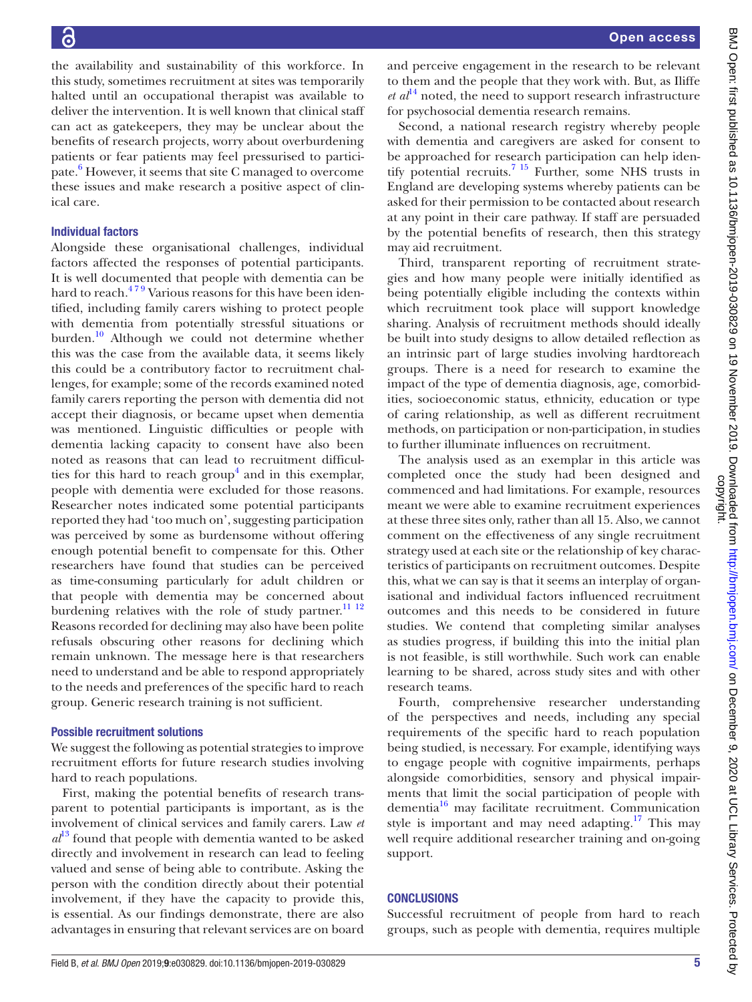the availability and sustainability of this workforce. In this study, sometimes recruitment at sites was temporarily halted until an occupational therapist was available to deliver the intervention. It is well known that clinical staff can act as gatekeepers, they may be unclear about the benefits of research projects, worry about overburdening patients or fear patients may feel pressurised to partici-pate.<sup>[6](#page-5-5)</sup> However, it seems that site C managed to overcome these issues and make research a positive aspect of clinical care.

## Individual factors

Alongside these organisational challenges, individual factors affected the responses of potential participants. It is well documented that people with dementia can be hard to reach.<sup>479</sup> Various reasons for this have been identified, including family carers wishing to protect people with dementia from potentially stressful situations or burden.<sup>[10](#page-5-6)</sup> Although we could not determine whether this was the case from the available data, it seems likely this could be a contributory factor to recruitment challenges, for example; some of the records examined noted family carers reporting the person with dementia did not accept their diagnosis, or became upset when dementia was mentioned. Linguistic difficulties or people with dementia lacking capacity to consent have also been noted as reasons that can lead to recruitment difficulties for this hard to reach group<sup>4</sup> and in this exemplar, people with dementia were excluded for those reasons. Researcher notes indicated some potential participants reported they had 'too much on', suggesting participation was perceived by some as burdensome without offering enough potential benefit to compensate for this. Other researchers have found that studies can be perceived as time-consuming particularly for adult children or that people with dementia may be concerned about burdening relatives with the role of study partner.<sup>11 12</sup> Reasons recorded for declining may also have been polite refusals obscuring other reasons for declining which remain unknown. The message here is that researchers need to understand and be able to respond appropriately to the needs and preferences of the specific hard to reach group. Generic research training is not sufficient.

## Possible recruitment solutions

We suggest the following as potential strategies to improve recruitment efforts for future research studies involving hard to reach populations.

First, making the potential benefits of research transparent to potential participants is important, as is the involvement of clinical services and family carers. Law *et*   $a^{13}$  found that people with dementia wanted to be asked directly and involvement in research can lead to feeling valued and sense of being able to contribute. Asking the person with the condition directly about their potential involvement, if they have the capacity to provide this, is essential. As our findings demonstrate, there are also advantages in ensuring that relevant services are on board

and perceive engagement in the research to be relevant to them and the people that they work with. But, as Iliffe  $et al<sup>14</sup>$  noted, the need to support research infrastructure for psychosocial dementia research remains.

Second, a national research registry whereby people with dementia and caregivers are asked for consent to be approached for research participation can help identify potential recruits.[7 15](#page-5-10) Further, some NHS trusts in England are developing systems whereby patients can be asked for their permission to be contacted about research at any point in their care pathway. If staff are persuaded by the potential benefits of research, then this strategy may aid recruitment.

Third, transparent reporting of recruitment strategies and how many people were initially identified as being potentially eligible including the contexts within which recruitment took place will support knowledge sharing. Analysis of recruitment methods should ideally be built into study designs to allow detailed reflection as an intrinsic part of large studies involving hardtoreach groups. There is a need for research to examine the impact of the type of dementia diagnosis, age, comorbidities, socioeconomic status, ethnicity, education or type of caring relationship, as well as different recruitment methods, on participation or non-participation, in studies to further illuminate influences on recruitment.

The analysis used as an exemplar in this article was completed once the study had been designed and commenced and had limitations. For example, resources meant we were able to examine recruitment experiences at these three sites only, rather than all 15. Also, we cannot comment on the effectiveness of any single recruitment strategy used at each site or the relationship of key characteristics of participants on recruitment outcomes. Despite this, what we can say is that it seems an interplay of organisational and individual factors influenced recruitment outcomes and this needs to be considered in future studies. We contend that completing similar analyses as studies progress, if building this into the initial plan is not feasible, is still worthwhile. Such work can enable learning to be shared, across study sites and with other research teams.

Fourth, comprehensive researcher understanding of the perspectives and needs, including any special requirements of the specific hard to reach population being studied, is necessary. For example, identifying ways to engage people with cognitive impairments, perhaps alongside comorbidities, sensory and physical impairments that limit the social participation of people with dementi[a16](#page-5-11) may facilitate recruitment. Communication style is important and may need adapting.<sup>17</sup> This may well require additional researcher training and on-going support.

## **CONCLUSIONS**

Successful recruitment of people from hard to reach groups, such as people with dementia, requires multiple